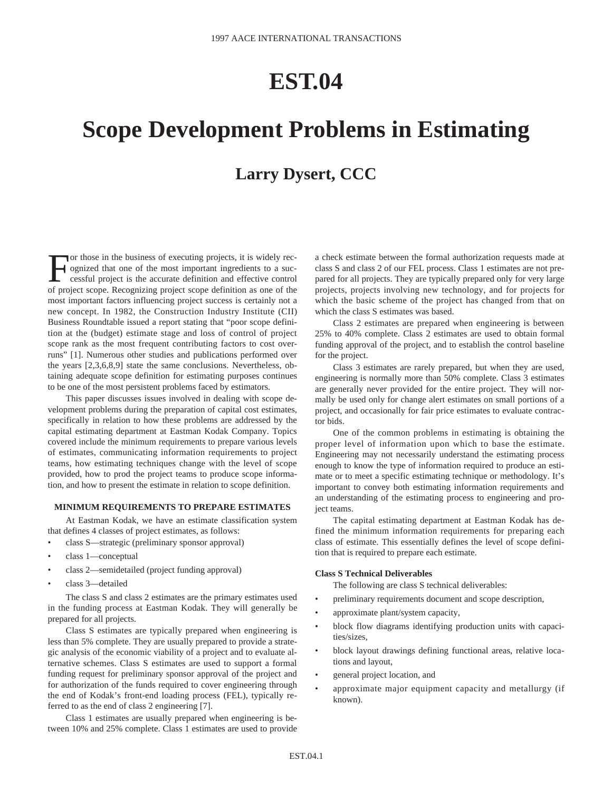## **EST.04**

# **Scope Development Problems in Estimating**

### **Larry Dysert, CCC**

For those in the business of executing projects, it is widely rec-<br>ognized that one of the most important ingredients to a suc-<br>cessful project is the accurate definition and effective control<br>of project scope Recognizing ognized that one of the most important ingredients to a successful project is the accurate definition and effective control of project scope. Recognizing project scope definition as one of the most important factors influencing project success is certainly not a new concept. In 1982, the Construction Industry Institute (CII) Business Roundtable issued a report stating that "poor scope definition at the (budget) estimate stage and loss of control of project scope rank as the most frequent contributing factors to cost overruns" [1]. Numerous other studies and publications performed over the years [2,3,6,8,9] state the same conclusions. Nevertheless, obtaining adequate scope definition for estimating purposes continues to be one of the most persistent problems faced by estimators.

This paper discusses issues involved in dealing with scope development problems during the preparation of capital cost estimates, specifically in relation to how these problems are addressed by the capital estimating department at Eastman Kodak Company. Topics covered include the minimum requirements to prepare various levels of estimates, communicating information requirements to project teams, how estimating techniques change with the level of scope provided, how to prod the project teams to produce scope information, and how to present the estimate in relation to scope definition.

#### **MINIMUM REQUIREMENTS TO PREPARE ESTIMATES**

At Eastman Kodak, we have an estimate classification system that defines 4 classes of project estimates, as follows:

- class S—strategic (preliminary sponsor approval)
- class 1—conceptual
- class 2—semidetailed (project funding approval)
- class 3—detailed

The class S and class 2 estimates are the primary estimates used in the funding process at Eastman Kodak. They will generally be prepared for all projects.

Class S estimates are typically prepared when engineering is less than 5% complete. They are usually prepared to provide a strategic analysis of the economic viability of a project and to evaluate alternative schemes. Class S estimates are used to support a formal funding request for preliminary sponsor approval of the project and for authorization of the funds required to cover engineering through the end of Kodak's front-end loading process (FEL), typically referred to as the end of class 2 engineering [7].

Class 1 estimates are usually prepared when engineering is between 10% and 25% complete. Class 1 estimates are used to provide a check estimate between the formal authorization requests made at class S and class 2 of our FEL process. Class 1 estimates are not prepared for all projects. They are typically prepared only for very large projects, projects involving new technology, and for projects for which the basic scheme of the project has changed from that on which the class S estimates was based.

Class 2 estimates are prepared when engineering is between 25% to 40% complete. Class 2 estimates are used to obtain formal funding approval of the project, and to establish the control baseline for the project.

Class 3 estimates are rarely prepared, but when they are used, engineering is normally more than 50% complete. Class 3 estimates are generally never provided for the entire project. They will normally be used only for change alert estimates on small portions of a project, and occasionally for fair price estimates to evaluate contractor bids.

One of the common problems in estimating is obtaining the proper level of information upon which to base the estimate. Engineering may not necessarily understand the estimating process enough to know the type of information required to produce an estimate or to meet a specific estimating technique or methodology. It's important to convey both estimating information requirements and an understanding of the estimating process to engineering and project teams.

The capital estimating department at Eastman Kodak has defined the minimum information requirements for preparing each class of estimate. This essentially defines the level of scope definition that is required to prepare each estimate.

#### **Class S Technical Deliverables**

The following are class S technical deliverables:

- preliminary requirements document and scope description,
- approximate plant/system capacity,
- block flow diagrams identifying production units with capacities/sizes,
- block layout drawings defining functional areas, relative locations and layout,
- general project location, and
- approximate major equipment capacity and metallurgy (if known).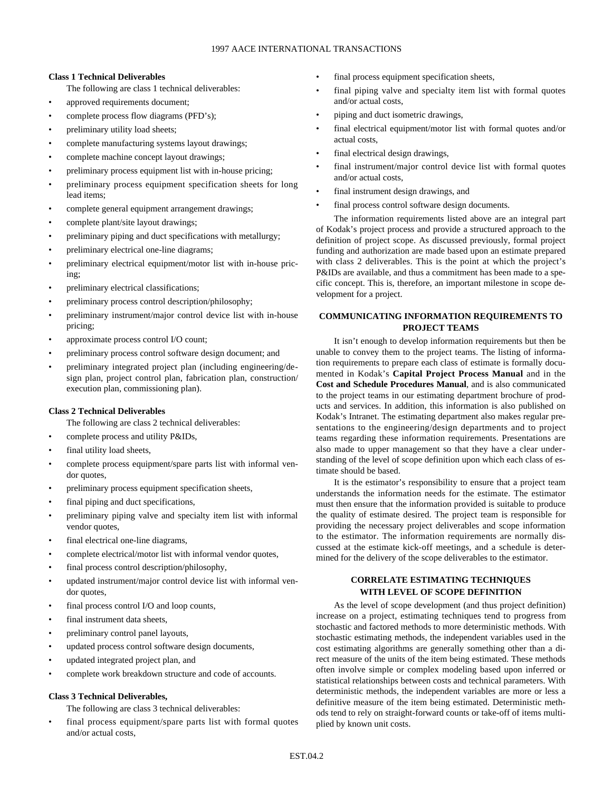#### **Class 1 Technical Deliverables**

The following are class 1 technical deliverables:

- approved requirements document;
- complete process flow diagrams (PFD's);
- preliminary utility load sheets;
- complete manufacturing systems layout drawings;
- complete machine concept layout drawings;
- preliminary process equipment list with in-house pricing;
- preliminary process equipment specification sheets for long lead items;
- complete general equipment arrangement drawings;
- complete plant/site layout drawings;
- preliminary piping and duct specifications with metallurgy;
- preliminary electrical one-line diagrams;
- preliminary electrical equipment/motor list with in-house pricing;
- preliminary electrical classifications;
- preliminary process control description/philosophy;
- preliminary instrument/major control device list with in-house pricing;
- approximate process control I/O count;
- preliminary process control software design document; and
- preliminary integrated project plan (including engineering/design plan, project control plan, fabrication plan, construction/ execution plan, commissioning plan).

#### **Class 2 Technical Deliverables**

The following are class 2 technical deliverables:

- complete process and utility P&IDs,
- final utility load sheets,
- complete process equipment/spare parts list with informal vendor quotes,
- preliminary process equipment specification sheets,
- final piping and duct specifications,
- preliminary piping valve and specialty item list with informal vendor quotes,
- final electrical one-line diagrams,
- complete electrical/motor list with informal vendor quotes,
- final process control description/philosophy,
- updated instrument/major control device list with informal vendor quotes,
- final process control I/O and loop counts,
- final instrument data sheets,
- preliminary control panel layouts,
- updated process control software design documents,
- updated integrated project plan, and
- complete work breakdown structure and code of accounts.

#### **Class 3 Technical Deliverables,**

The following are class 3 technical deliverables:

final process equipment/spare parts list with formal quotes and/or actual costs,

- final process equipment specification sheets,
- final piping valve and specialty item list with formal quotes and/or actual costs,
- piping and duct isometric drawings,
- final electrical equipment/motor list with formal quotes and/or actual costs,
- final electrical design drawings,
- final instrument/major control device list with formal quotes and/or actual costs,
- final instrument design drawings, and
- final process control software design documents.

The information requirements listed above are an integral part of Kodak's project process and provide a structured approach to the definition of project scope. As discussed previously, formal project funding and authorization are made based upon an estimate prepared with class 2 deliverables. This is the point at which the project's P&IDs are available, and thus a commitment has been made to a specific concept. This is, therefore, an important milestone in scope development for a project.

#### **COMMUNICATING INFORMATION REQUIREMENTS TO PROJECT TEAMS**

It isn't enough to develop information requirements but then be unable to convey them to the project teams. The listing of information requirements to prepare each class of estimate is formally documented in Kodak's **Capital Project Process Manual** and in the **Cost and Schedule Procedures Manual**, and is also communicated to the project teams in our estimating department brochure of products and services. In addition, this information is also published on Kodak's Intranet. The estimating department also makes regular presentations to the engineering/design departments and to project teams regarding these information requirements. Presentations are also made to upper management so that they have a clear understanding of the level of scope definition upon which each class of estimate should be based.

It is the estimator's responsibility to ensure that a project team understands the information needs for the estimate. The estimator must then ensure that the information provided is suitable to produce the quality of estimate desired. The project team is responsible for providing the necessary project deliverables and scope information to the estimator. The information requirements are normally discussed at the estimate kick-off meetings, and a schedule is determined for the delivery of the scope deliverables to the estimator.

#### **CORRELATE ESTIMATING TECHNIQUES WITH LEVEL OF SCOPE DEFINITION**

As the level of scope development (and thus project definition) increase on a project, estimating techniques tend to progress from stochastic and factored methods to more deterministic methods. With stochastic estimating methods, the independent variables used in the cost estimating algorithms are generally something other than a direct measure of the units of the item being estimated. These methods often involve simple or complex modeling based upon inferred or statistical relationships between costs and technical parameters. With deterministic methods, the independent variables are more or less a definitive measure of the item being estimated. Deterministic methods tend to rely on straight-forward counts or take-off of items multiplied by known unit costs.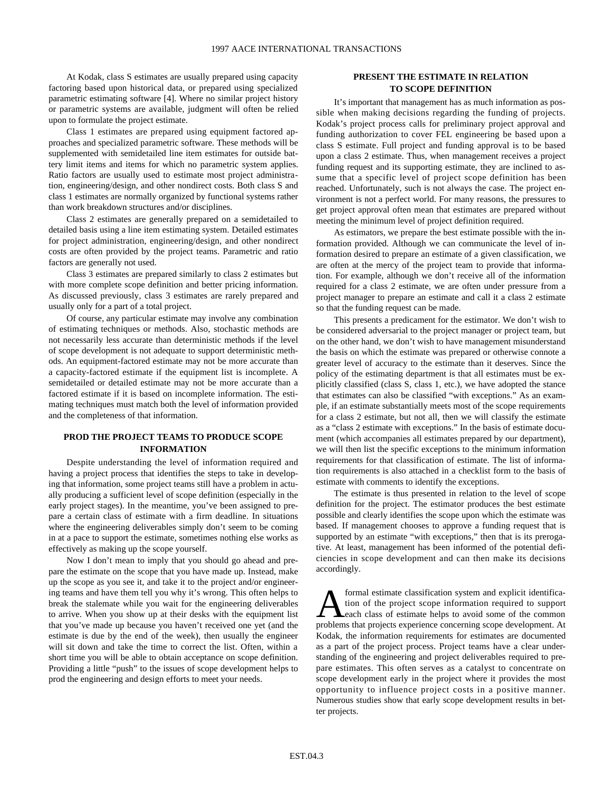At Kodak, class S estimates are usually prepared using capacity factoring based upon historical data, or prepared using specialized parametric estimating software [4]. Where no similar project history or parametric systems are available, judgment will often be relied upon to formulate the project estimate.

Class 1 estimates are prepared using equipment factored approaches and specialized parametric software. These methods will be supplemented with semidetailed line item estimates for outside battery limit items and items for which no parametric system applies. Ratio factors are usually used to estimate most project administration, engineering/design, and other nondirect costs. Both class S and class 1 estimates are normally organized by functional systems rather than work breakdown structures and/or disciplines.

Class 2 estimates are generally prepared on a semidetailed to detailed basis using a line item estimating system. Detailed estimates for project administration, engineering/design, and other nondirect costs are often provided by the project teams. Parametric and ratio factors are generally not used.

Class 3 estimates are prepared similarly to class 2 estimates but with more complete scope definition and better pricing information. As discussed previously, class 3 estimates are rarely prepared and usually only for a part of a total project.

Of course, any particular estimate may involve any combination of estimating techniques or methods. Also, stochastic methods are not necessarily less accurate than deterministic methods if the level of scope development is not adequate to support deterministic methods. An equipment-factored estimate may not be more accurate than a capacity-factored estimate if the equipment list is incomplete. A semidetailed or detailed estimate may not be more accurate than a factored estimate if it is based on incomplete information. The estimating techniques must match both the level of information provided and the completeness of that information.

#### **PROD THE PROJECT TEAMS TO PRODUCE SCOPE INFORMATION**

Despite understanding the level of information required and having a project process that identifies the steps to take in developing that information, some project teams still have a problem in actually producing a sufficient level of scope definition (especially in the early project stages). In the meantime, you've been assigned to prepare a certain class of estimate with a firm deadline. In situations where the engineering deliverables simply don't seem to be coming in at a pace to support the estimate, sometimes nothing else works as effectively as making up the scope yourself.

Now I don't mean to imply that you should go ahead and prepare the estimate on the scope that you have made up. Instead, make up the scope as you see it, and take it to the project and/or engineering teams and have them tell you why it's wrong. This often helps to break the stalemate while you wait for the engineering deliverables to arrive. When you show up at their desks with the equipment list that you've made up because you haven't received one yet (and the estimate is due by the end of the week), then usually the engineer will sit down and take the time to correct the list. Often, within a short time you will be able to obtain acceptance on scope definition. Providing a little "push" to the issues of scope development helps to prod the engineering and design efforts to meet your needs.

#### **PRESENT THE ESTIMATE IN RELATION TO SCOPE DEFINITION**

It's important that management has as much information as possible when making decisions regarding the funding of projects. Kodak's project process calls for preliminary project approval and funding authorization to cover FEL engineering be based upon a class S estimate. Full project and funding approval is to be based upon a class 2 estimate. Thus, when management receives a project funding request and its supporting estimate, they are inclined to assume that a specific level of project scope definition has been reached. Unfortunately, such is not always the case. The project environment is not a perfect world. For many reasons, the pressures to get project approval often mean that estimates are prepared without meeting the minimum level of project definition required.

As estimators, we prepare the best estimate possible with the information provided. Although we can communicate the level of information desired to prepare an estimate of a given classification, we are often at the mercy of the project team to provide that information. For example, although we don't receive all of the information required for a class 2 estimate, we are often under pressure from a project manager to prepare an estimate and call it a class 2 estimate so that the funding request can be made.

This presents a predicament for the estimator. We don't wish to be considered adversarial to the project manager or project team, but on the other hand, we don't wish to have management misunderstand the basis on which the estimate was prepared or otherwise connote a greater level of accuracy to the estimate than it deserves. Since the policy of the estimating department is that all estimates must be explicitly classified (class S, class 1, etc.), we have adopted the stance that estimates can also be classified "with exceptions." As an example, if an estimate substantially meets most of the scope requirements for a class 2 estimate, but not all, then we will classify the estimate as a "class 2 estimate with exceptions." In the basis of estimate document (which accompanies all estimates prepared by our department), we will then list the specific exceptions to the minimum information requirements for that classification of estimate. The list of information requirements is also attached in a checklist form to the basis of estimate with comments to identify the exceptions.

The estimate is thus presented in relation to the level of scope definition for the project. The estimator produces the best estimate possible and clearly identifies the scope upon which the estimate was based. If management chooses to approve a funding request that is supported by an estimate "with exceptions," then that is its prerogative. At least, management has been informed of the potential deficiencies in scope development and can then make its decisions accordingly.

**A** formal estimate classification system and explicit identification of the project scope information required to support each class of estimate helps to avoid some of the common problems that projects experience concerni tion of the project scope information required to support problems that projects experience concerning scope development. At Kodak, the information requirements for estimates are documented as a part of the project process. Project teams have a clear understanding of the engineering and project deliverables required to prepare estimates. This often serves as a catalyst to concentrate on scope development early in the project where it provides the most opportunity to influence project costs in a positive manner. Numerous studies show that early scope development results in better projects.